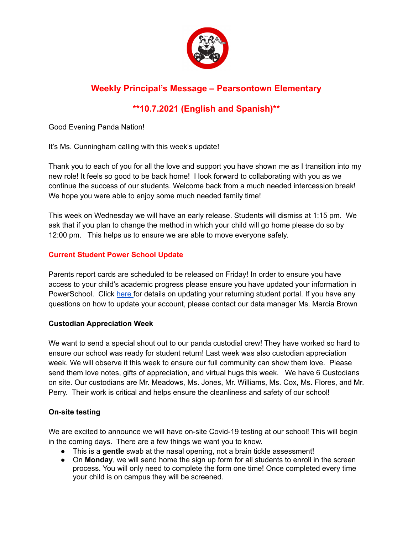

# **\*\*10.7.2021 (English and Spanish)\*\***

Good Evening Panda Nation!

It's Ms. Cunningham calling with this week's update!

Thank you to each of you for all the love and support you have shown me as I transition into my new role! It feels so good to be back home! I look forward to collaborating with you as we continue the success of our students. Welcome back from a much needed intercession break! We hope you were able to enjoy some much needed family time!

This week on Wednesday we will have an early release. Students will dismiss at 1:15 pm. We ask that if you plan to change the method in which your child will go home please do so by 12:00 pm. This helps us to ensure we are able to move everyone safely.

## **Current Student Power School Update**

Parents report cards are scheduled to be released on Friday! In order to ensure you have access to your child's academic progress please ensure you have updated your information in PowerSchool. Click [here](https://www.dpsnc.net/Page/4734) for details on updating your returning student portal. If you have any questions on how to update your account, please contact our data manager Ms. Marcia Brown

## **Custodian Appreciation Week**

We want to send a special shout out to our panda custodial crew! They have worked so hard to ensure our school was ready for student return! Last week was also custodian appreciation week. We will observe it this week to ensure our full community can show them love. Please send them love notes, gifts of appreciation, and virtual hugs this week. We have 6 Custodians on site. Our custodians are Mr. Meadows, Ms. Jones, Mr. Williams, Ms. Cox, Ms. Flores, and Mr. Perry. Their work is critical and helps ensure the cleanliness and safety of our school!

## **On-site testing**

We are excited to announce we will have on-site Covid-19 testing at our school! This will begin in the coming days. There are a few things we want you to know.

- This is a **gentle** swab at the nasal opening, not a brain tickle assessment!
- On **Monday**, we will send home the sign up form for all students to enroll in the screen process. You will only need to complete the form one time! Once completed every time your child is on campus they will be screened.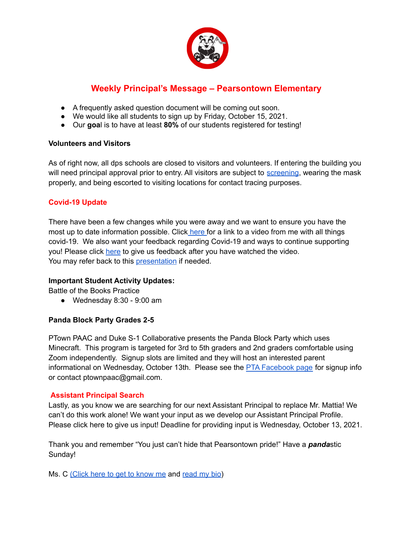

- A frequently asked question document will be coming out soon.
- We would like all students to sign up by Friday, October 15, 2021.
- Our **goa**l is to have at least **80%** of our students registered for testing!

#### **Volunteers and Visitors**

As of right now, all dps schools are closed to visitors and volunteers. If entering the building you will need principal approval prior to entry. All visitors are subject to [screening](https://docs.google.com/document/d/1q2cuKPGbC6GIx2ZiWM6GN4xhG0ofBoC3arsuhSQhEcY/edit), wearing the mask properly, and being escorted to visiting locations for contact tracing purposes.

### **Covid-19 Update**

There have been a few changes while you were away and we want to ensure you have the most up to date information possible. Click [here](https://drive.google.com/file/d/14PizvhuKMQiOkIKa4qmdupMH8fXO7AZC/view?usp=drive_web) for a link to a video from me with all things covid-19. We also want your feedback regarding Covid-19 and ways to continue supporting you! Please click [here](https://forms.gle/SwHywyWfW2f4AJMg7) to give us feedback after you have watched the video. You may refer back to this [presentation](https://docs.google.com/presentation/d/1oz-85WUp4RMLZ0zMPx_L7IRaVfB-kYVGvZ5oO3jU2lA/edit#slide=id.p1) if needed.

#### **Important Student Activity Updates:**

Battle of the Books Practice

 $\bullet$  Wednesday 8:30 - 9:00 am

#### **Panda Block Party Grades 2-5**

PTown PAAC and Duke S-1 Collaborative presents the Panda Block Party which uses Minecraft. This program is targeted for 3rd to 5th graders and 2nd graders comfortable using Zoom independently. Signup slots are limited and they will host an interested parent informational on Wednesday, October 13th. Please see the **PTA [Facebook](https://www.facebook.com/PearsontownElementarySchool/) page** for signup info or contact ptownpaac@gmail.com.

#### **Assistant Principal Search**

Lastly, as you know we are searching for our next Assistant Principal to replace Mr. Mattia! We can't do this work alone! We want your input as we develop our Assistant Principal Profile. Please click here to give us input! Deadline for providing input is Wednesday, October 13, 2021.

Thank you and remember "You just can't hide that Pearsontown pride!" Have a *panda*stic Sunday!

Ms. C [\(Click](https://drive.google.com/file/d/1FCJxUKw4R5Fu6RXrzIF_rdc3wqpYeNkN/view) here to get to know me and [read](https://docs.google.com/document/d/1dMAWw_jXqcImWYeMQieDzXLW_9O1N-2hRSjpvY9fIvs/edit) my bio)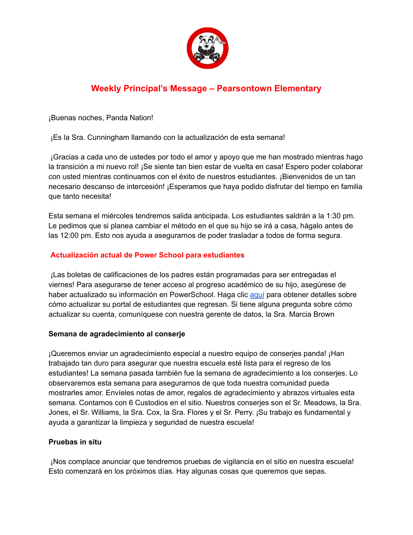

¡Buenas noches, Panda Nation!

¡Es la Sra. Cunningham llamando con la actualización de esta semana!

¡Gracias a cada uno de ustedes por todo el amor y apoyo que me han mostrado mientras hago la transición a mi nuevo rol! ¡Se siente tan bien estar de vuelta en casa! Espero poder colaborar con usted mientras continuamos con el éxito de nuestros estudiantes. ¡Bienvenidos de un tan necesario descanso de intercesión! ¡Esperamos que haya podido disfrutar del tiempo en familia que tanto necesita!

Esta semana el miércoles tendremos salida anticipada. Los estudiantes saldrán a la 1:30 pm. Le pedimos que si planea cambiar el método en el que su hijo se irá a casa, hágalo antes de las 12:00 pm. Esto nos ayuda a asegurarnos de poder trasladar a todos de forma segura.

## **Actualización actual de Power School para estudiantes**

¡Las boletas de calificaciones de los padres están programadas para ser entregadas el viernes! Para asegurarse de tener acceso al progreso académico de su hijo, asegúrese de haber actualizado su información en PowerSchool. Haga clic [aquí](https://www.dpsnc.net/Page/4734) para obtener detalles sobre cómo actualizar su portal de estudiantes que regresan. Si tiene alguna pregunta sobre cómo actualizar su cuenta, comuníquese con nuestra gerente de datos, la Sra. Marcia Brown

## **Semana de agradecimiento al conserje**

¡Queremos enviar un agradecimiento especial a nuestro equipo de conserjes panda! ¡Han trabajado tan duro para asegurar que nuestra escuela esté lista para el regreso de los estudiantes! La semana pasada también fue la semana de agradecimiento a los conserjes. Lo observaremos esta semana para asegurarnos de que toda nuestra comunidad pueda mostrarles amor. Envíeles notas de amor, regalos de agradecimiento y abrazos virtuales esta semana. Contamos con 6 Custodios en el sitio. Nuestros conserjes son el Sr. Meadows, la Sra. Jones, el Sr. Williams, la Sra. Cox, la Sra. Flores y el Sr. Perry. ¡Su trabajo es fundamental y ayuda a garantizar la limpieza y seguridad de nuestra escuela!

## **Pruebas in situ**

¡Nos complace anunciar que tendremos pruebas de vigilancia en el sitio en nuestra escuela! Esto comenzará en los próximos días. Hay algunas cosas que queremos que sepas.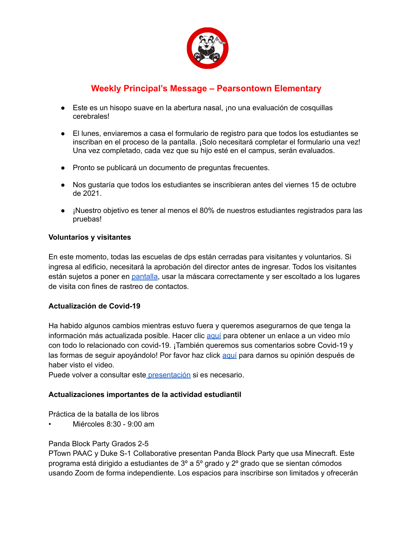

- Este es un hisopo suave en la abertura nasal, ¡no una evaluación de cosquillas cerebrales!
- El lunes, enviaremos a casa el formulario de registro para que todos los estudiantes se inscriban en el proceso de la pantalla. ¡Solo necesitará completar el formulario una vez! Una vez completado, cada vez que su hijo esté en el campus, serán evaluados.
- Pronto se publicará un documento de preguntas frecuentes.
- Nos gustaría que todos los estudiantes se inscribieran antes del viernes 15 de octubre de 2021.
- ¡Nuestro objetivo es tener al menos el 80% de nuestros estudiantes registrados para las pruebas!

#### **Voluntarios y visitantes**

En este momento, todas las escuelas de dps están cerradas para visitantes y voluntarios. Si ingresa al edificio, necesitará la aprobación del director antes de ingresar. Todos los visitantes están sujetos a poner en [pantalla,](https://docs.google.com/document/d/1q2cuKPGbC6GIx2ZiWM6GN4xhG0ofBoC3arsuhSQhEcY/edit) usar la máscara correctamente y ser escoltado a los lugares de visita con fines de rastreo de contactos.

#### **Actualización de Covid-19**

Ha habido algunos cambios mientras estuvo fuera y queremos asegurarnos de que tenga la información más actualizada posible. Hacer clic [aquí](https://drive.google.com/file/d/14PizvhuKMQiOkIKa4qmdupMH8fXO7AZC/view?usp=drive_web) para obtener un enlace a un video mío con todo lo relacionado con covid-19. ¡También queremos sus comentarios sobre Covid-19 y las formas de seguir apoyándolo! Por favor haz click [aquí](https://forms.gle/SwHywyWfW2f4AJMg7) para darnos su opinión después de haber visto el video.

Puede volver a consultar este [presentación](https://docs.google.com/presentation/d/1oz-85WUp4RMLZ0zMPx_L7IRaVfB-kYVGvZ5oO3jU2lA/edit#slide=id.p1) si es necesario.

#### **Actualizaciones importantes de la actividad estudiantil**

Práctica de la batalla de los libros

• Miércoles 8:30 - 9:00 am

#### Panda Block Party Grados 2-5

PTown PAAC y Duke S-1 Collaborative presentan Panda Block Party que usa Minecraft. Este programa está dirigido a estudiantes de 3º a 5º grado y 2º grado que se sientan cómodos usando Zoom de forma independiente. Los espacios para inscribirse son limitados y ofrecerán